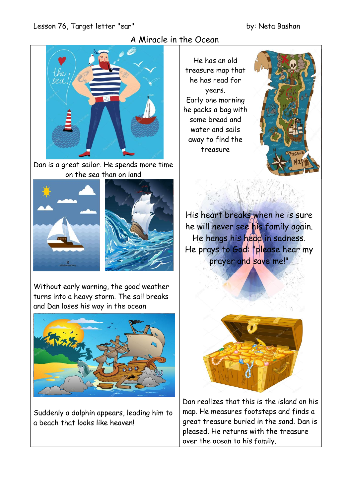#### Lesson 76, Target letter "ear" by: Neta Bashan

## A Miracle in the Ocean



Dan is a great sailor. He spends more time on the sea than on land





Without early warning, the good weather turns into a heavy storm. The sail breaks and Dan loses his way in the ocean

He has an old treasure map that he has read for years. Early one morning he packs a bag with some bread and water and sails away to find the treasure



His heart breaks when he is sure he will never see his family again. He hangs his head in sadness. He prays to God: "please hear my prayer and save me!"



Suddenly a dolphin appears, leading him to a beach that looks like heaven!



Dan realizes that this is the island on his map. He measures footsteps and finds a great treasure buried in the sand. Dan is pleased. He returns with the treasure over the ocean to his family.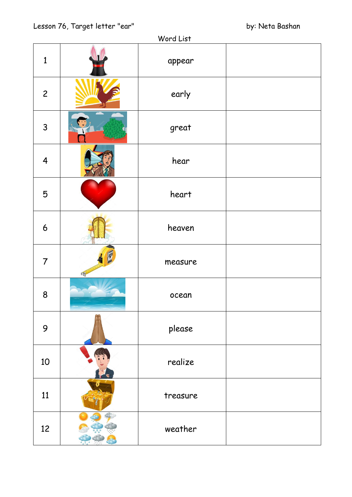| Word List               |   |          |  |
|-------------------------|---|----------|--|
| $\mathbf{1}$            |   | appear   |  |
| $\overline{c}$          |   | early    |  |
| $\overline{3}$          |   | great    |  |
| $\overline{\mathbf{4}}$ |   | hear     |  |
| 5                       |   | heart    |  |
| 6                       |   | heaven   |  |
| $\overline{7}$          | N | measure  |  |
| 8                       |   | ocean    |  |
| 9                       |   | please   |  |
| 10                      |   | realize  |  |
| 11                      |   | treasure |  |
| 12                      |   | weather  |  |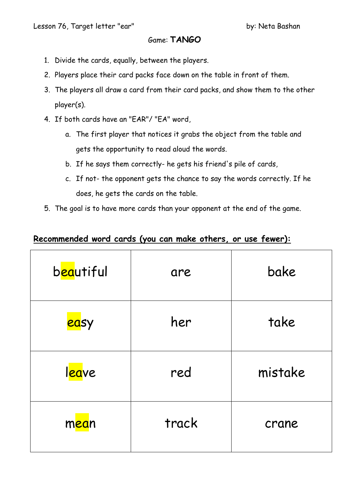## Game: **TANGO**

- 1. Divide the cards, equally, between the players.
- 2. Players place their card packs face down on the table in front of them.
- 3. The players all draw a card from their card packs, and show them to the other player(s).
- 4. If both cards have an "EAR"/ "EA" word,
	- a. The first player that notices it grabs the object from the table and gets the opportunity to read aloud the words.
	- b. If he says them correctly- he gets his friend's pile of cards,
	- c. If not- the opponent gets the chance to say the words correctly. If he does, he gets the cards on the table.
- 5. The goal is to have more cards than your opponent at the end of the game.

# **Recommended word cards (you can make others, or use fewer):**

| b <mark>ea</mark> utiful | are   | bake    |
|--------------------------|-------|---------|
| <mark>ea</mark> sy       | her   | take    |
| l <mark>ea</mark> ve     | red   | mistake |
| mean                     | track | crane   |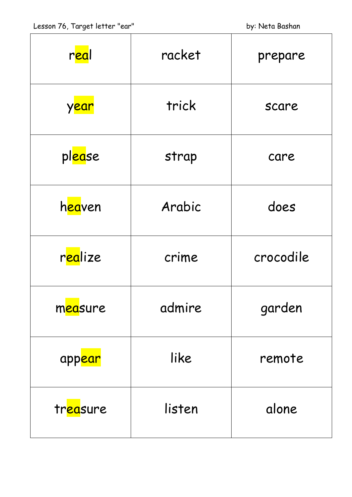| r <mark>ea</mark> l     | racket | prepare   |
|-------------------------|--------|-----------|
| y <mark>ear</mark>      | trick  | scare     |
| pl <mark>ea</mark> se   | strap  | care      |
| h <mark>ea</mark> ven   | Arabic | does      |
| r <mark>ea</mark> lize  | crime  | crocodile |
| measure                 | admire | garden    |
| app <mark>ear</mark>    | like   | remote    |
| tr <mark>ea</mark> sure | listen | alone     |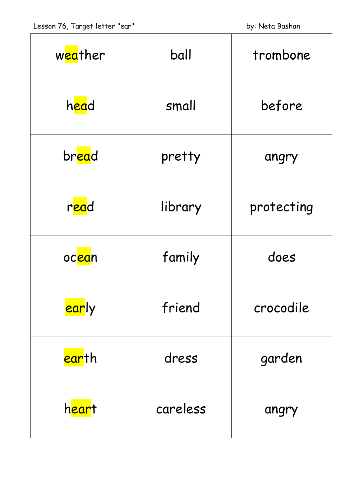| w <mark>ea</mark> ther | ball     | trombone   |
|------------------------|----------|------------|
| head                   | small    | before     |
| bread                  | pretty   | angry      |
| read                   | library  | protecting |
| oc <mark>ea</mark> n   | family   | does       |
| <mark>ear</mark> ly    | friend   | crocodile  |
| <mark>ear</mark> th    | dress    | garden     |
| h <mark>ear</mark> t   | careless | angry      |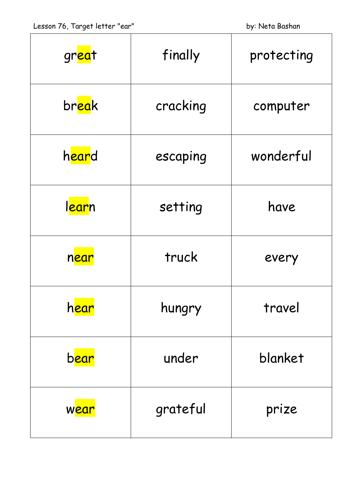| great                | finally  | protecting |
|----------------------|----------|------------|
| break                | cracking | computer   |
| heard                | escaping | wonderful  |
| l <mark>ear</mark> n | setting  | have       |
| near                 | truck    | every      |
| h <mark>ear</mark>   | hungry   | travel     |
| b <mark>ear</mark>   | under    | blanket    |
| w <mark>ear</mark>   | grateful | prize      |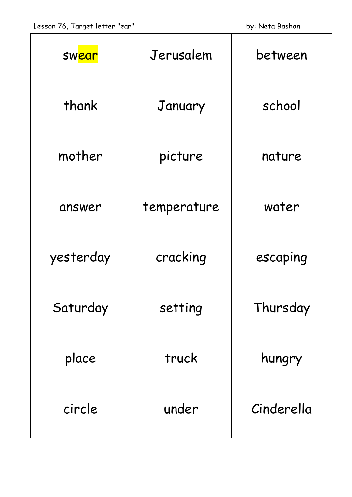| <b>Sw<mark>ear</mark></b> | Jerusalem   | between    |
|---------------------------|-------------|------------|
| thank                     | January     | school     |
| mother                    | picture     | nature     |
| answer                    | temperature | water      |
| yesterday                 | cracking    | escaping   |
| Saturday                  | setting     | Thursday   |
| place                     | truck       | hungry     |
| circle                    | under       | Cinderella |